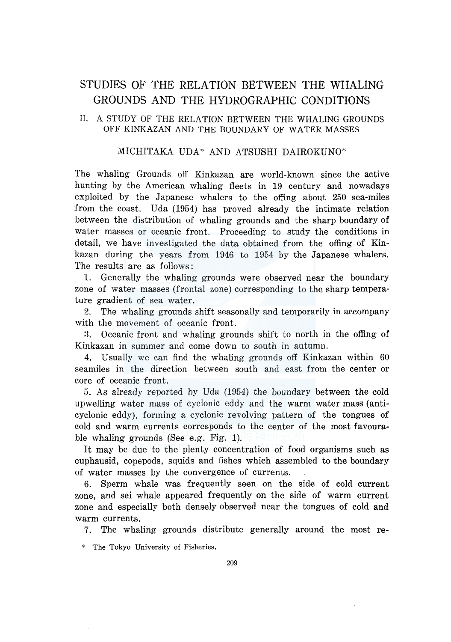# STUDIES OF THE RELATION BETWEEN THE WHALING GROUNDS AND THE HYDROGRAPHIC CONDITIONS

# II. A STUDY OF THE RELATION BETWEEN THE WHALING GROUNDS OFF KINKAZAN AND THE BOUNDARY OF WATER MASSES

# MICHITAKA UDA\* AND ATSUSHI DAIROKUNO\*

The whaling Grounds off Kinkazan are world-known since the active hunting by the American whaling fleets in 19 century and nowadays exploited by the Japanese whalers to the offing about 250 sea-miles from the coast. Uda (1954) has proved already the intimate relation between the distribution of whaling grounds and the sharp boundary of water masses or oceanic front. Proceeding to study the conditions in detail, we have investigated the data obtained from the offing of Kinkazan during the years from 1946 to 1954 by the Japanese whalers. The results are as follows:

1. Generally the whaling grounds were observed near the boundary zone of water masses (frontal zone) corresponding to the sharp temperature gradient of sea water.

2. The whaling grounds shift seasonally and temporarily in accompany with the movement of oceanic front.

3. Oceanic front and whaling grounds shift to north in the offing of Kinkazan in summer and come down to south in autumn.

Usually we can find the whaling grounds off Kinkazan within 60 seamiles in the direction between south and east from the center or core of oceanic front.

5. As already reported by Uda (1954) the boundary between the cold upwelling water mass of cyclonic eddy and the warm water mass (anticyclonic eddy), forming a cyclonic revolving pattern of the tongues of cold and warm currents corresponds to the center of the most favourable whaling grounds (See e.g. Fig. 1).

It may be due to the plenty concentration of food organisms such as euphausid, copepods, squids and fishes which assembled to the boundary of water masses by the convergence of currents.

6. Sperm whale was frequently seen on the side of cold current zone, and sei whale appeared frequently on the side of warm current zone and especially both densely observed near the tongues of cold and warm currents.

7. The whaling grounds distribute generally around the most re-

\* The Tokyo University of Fisheries.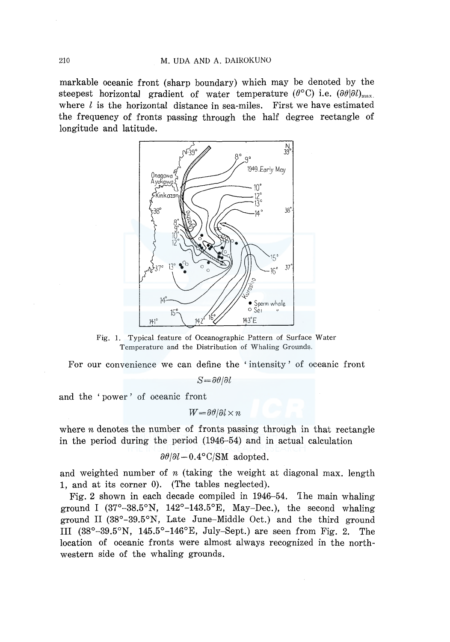markable oceanic front (sharp boundary) which may be denoted by the steepest horizontal gradient of water temperature  $(\theta^{\circ}C)$  i.e.  $(\partial \theta | \partial U)_{max}$ where  $l$  is the horizontal distance in sea-miles. First we have estimated the frequency of fronts passing through the half degree rectangle of longitude and latitude.



Fig. 1. Typical feature of Oceanographic Pattern of Surface Water Temperature and the Distribution of Whaling Grounds.

For our convenience we can define the ' intensity' of oceanic front

 $S = \partial \theta / \partial l$ 

and the ' power ' of oceanic front

 $W = \partial \theta / \partial l \times n$ 

where  $n$  denotes the number of fronts passing through in that rectangle m the period during the period (1946-54) and in actual calculation

$$
\partial \theta / \partial l - 0.4^{\circ} \text{C/SM}
$$
 adopted.

and weighted number of  $n$  (taking the weight at diagonal max. length 1, and at its corner 0). (The tables neglected).

Fig. 2 shown in each decade compiled in 1946-54. 'Ihe main whaling ground I  $(37^{\circ}-38.5^{\circ}N, 142^{\circ}-143.5^{\circ}E, May-Dec.),$  the second whaling ground II (38°-39.5°N, Late June-Middle Oct.) and the third ground III (38°-39.5°N, 145.5°-146°E, July-Sept.) are seen from Fig. 2. The location of oceanic fronts were almost always recognized in the northwestern side of the whaling grounds.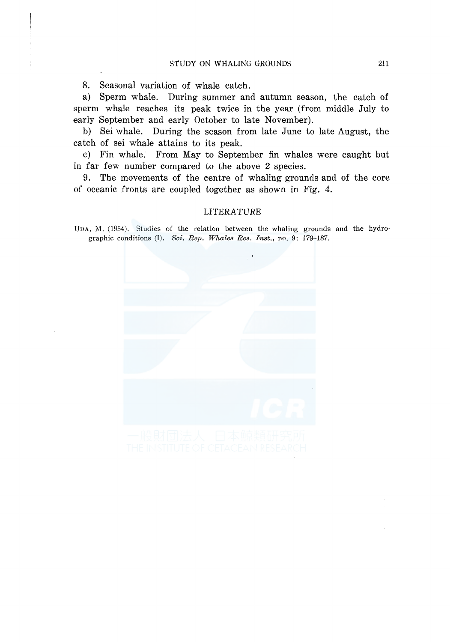8. Seasonal variation of whale catch.

a) Sperm whale. During summer and autumn season, the catch of sperm whale reaches its peak twice in the year (from middle July to early September and early October to late November).

b) Sei whale. During the season from late June to late August, the catch of sei whale attains to its peak.

c) Fin whale. From May to September fin whales were caught but in far few number compared to the above 2 species.

9. The movements of the centre of whaling grounds and of the core of oceanic fronts are coupled together as shown in Fig. 4.

#### LITERATURE

UDA, M. (1954). Studies of the relation between the whaling grounds and the hydrographic conditions (I). *Sci. Rep. Whales Res. Inst.,* no. 9: 179-187.

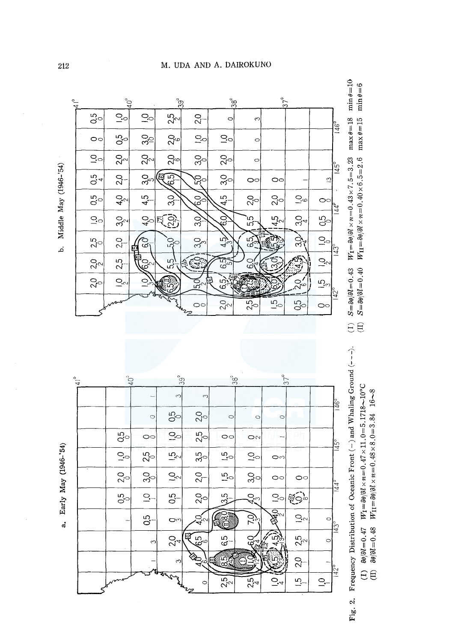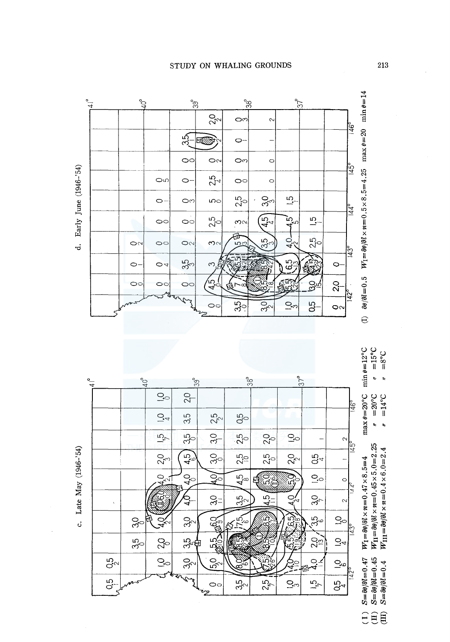

 $\frac{Q}{Q}$ 

**93** 

**550** 

ςă

 $\circ$ 

ترمع

Q.<br>4

 $30<sub>c</sub>$ 

 $\partial_c$ 

Ì,

ž

သို့မျာ

 $30<sub>c</sub>$ 

 $35<sub>o</sub>$ 

 $\mathcal{G}_{\circ}^{\circ}$ 

Q.5

 $\ddot{\circ}$ 

 $\circ$ 

 $Q_{\rm O}$ 

 $Q_{\rm c}$ 

 $35<sub>o</sub>$ 

 $35<sub>2</sub>$ 

 $4.5$ 

55

 $25$ 

 $\frac{1}{4}$ 

යි

 $Q_{cr}$ 

 $30<sub>7</sub>$ 

35<br>(20

 $2^{13}_{13}$ 

 $\frac{1}{4}$ 

 $\vec{v}$ 

 $\sim$ 

ধ্যু

 $Q_{\odot}$ 

 $\vec{S}$ 

 $\overline{\mathcal{C}}$ 

 $0,5$ 

 $W_{\text{II}} = \partial \theta / \partial l \times n = 0.45 \times 5.0 = 2.25$  $W_{\text{III}} = \frac{\partial \theta}{\partial l} \times n = 0.4 \times 6.0 = 2.4$  $S = \frac{\partial \theta}{\partial t} = 0.47$ <br>  $S = \frac{\partial \theta}{\partial t} = 0.45$ <br>  $S = \frac{\partial \theta}{\partial t} = 0.4$ **SEE**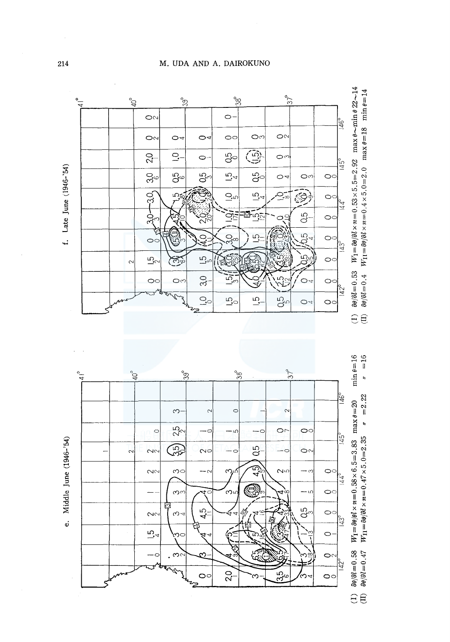





#### M. UDA AND A. DAIROKUNO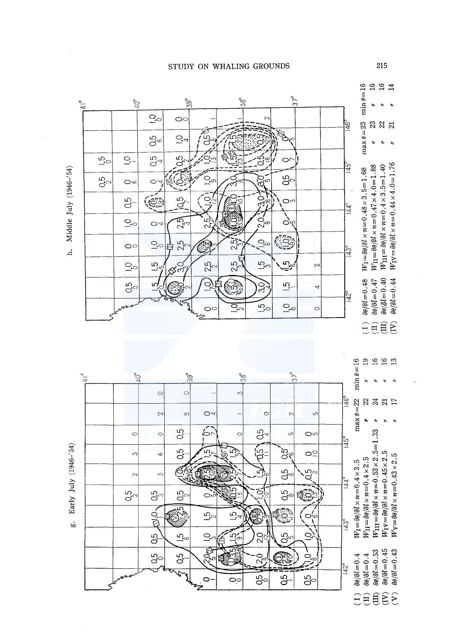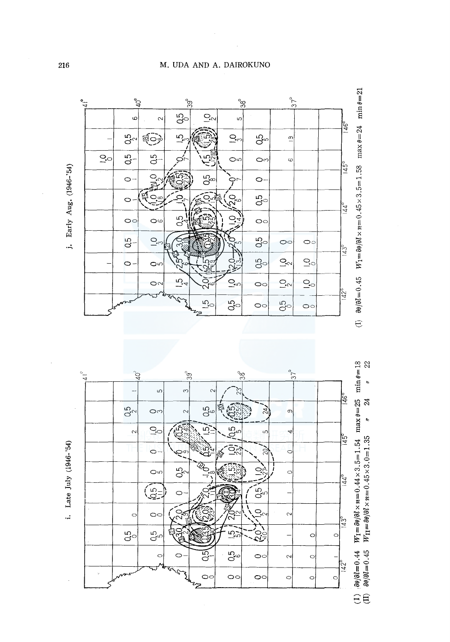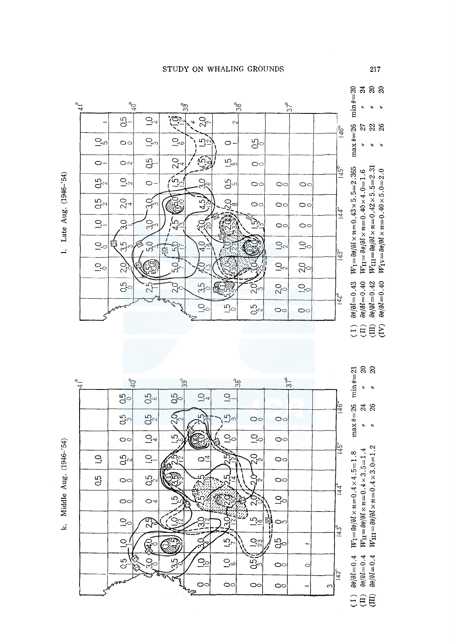

1. Late Aug. (1946-'54)

Middle Aug. (1946-'54)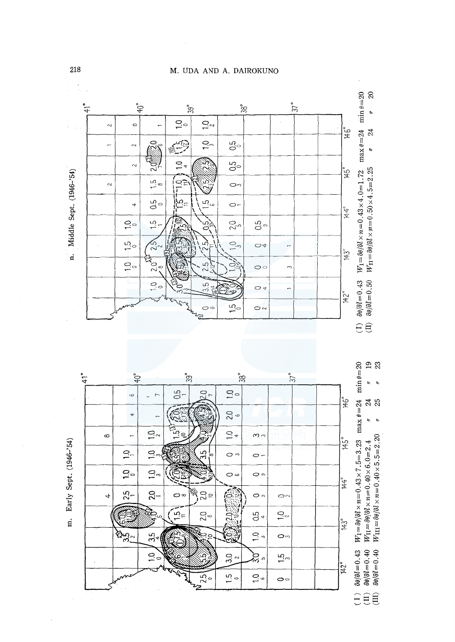M. UDA AND A. DAIROKUNO

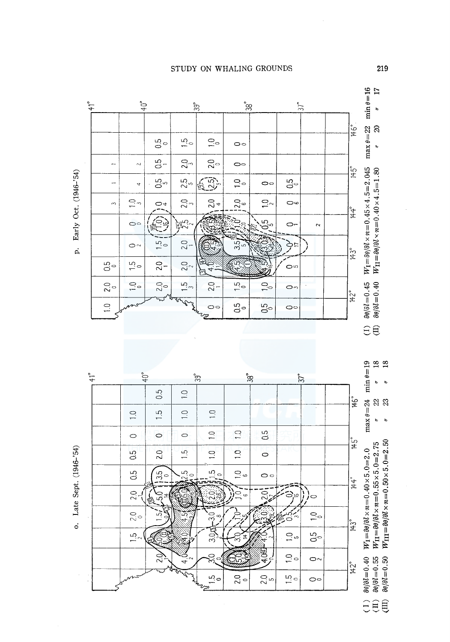



**SEE**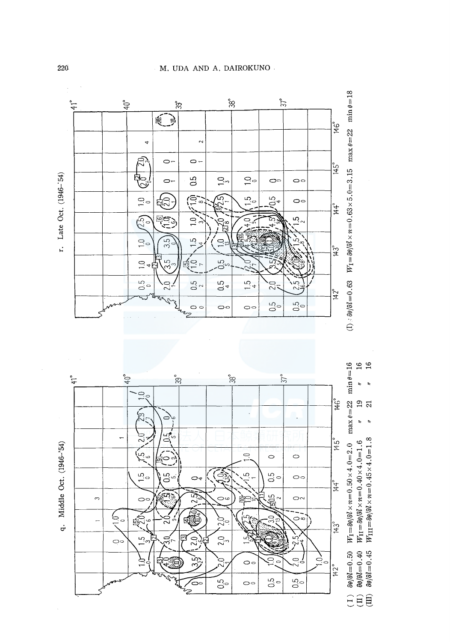

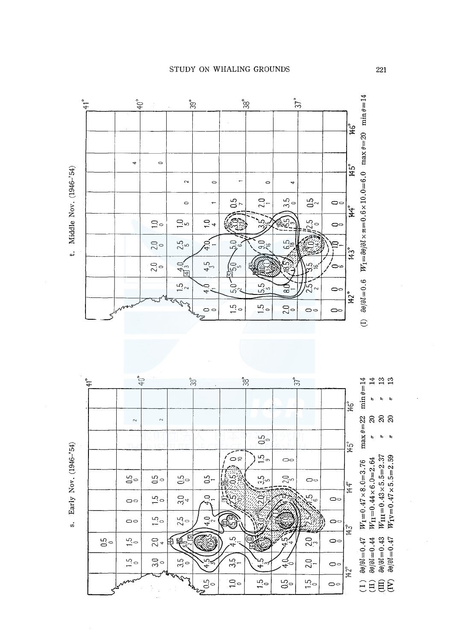$W_1 = \frac{\partial \theta}{\partial \ell} \times \pi = 0.6 \times 10.0 = 6.0$  max  $\theta = 20$  min  $\theta = 14$  $37^{\circ}$  $40^{\circ}$  $\mathrm{38}^{\circ}$  $41^{\circ}$  $39^\circ$  $\overline{\ast}$  $\ddot{\phantom{0}}$  $\circ$  $45^\circ$ Middle Nov. (1946-'54)  $\overline{a}$  $\sim$  $\circ$  $\circ$  $\ddot{\phantom{a}}$  $2,0$  $0.5<sub>7</sub>$  $3.5$  $0.5<sub>2</sub>$  $\ddot{\phantom{1}}$  $\circ$  $\circ$ ूर्  $42.5 +$  $1.04$ 65  $\sum_{i=1}^{n}$ قائ  $\overline{C}$  $\circ$  $40^1$  $5.0$ 6.5  $9.0<sub>6</sub>$  $2.0$  $2.5\degree$  $\ddot{ }$  $143°$  $4,5$  $\frac{4.0}{43}$  $\frac{5}{2}$ င့်  $\partial \theta / \partial l = 0.6$  $-6.0$  $\frac{15}{2}$ 5.5  $4.0$ رج<br>20 ಹ  $\circ$  $142$ ° S.  $1.5$  $\frac{10}{10}$  $20<sub>o</sub>$  $\circ$  $\circ$  $\circ$ ఌ  $\ominus$ 



**STUDY ON WHALING GROUNDS**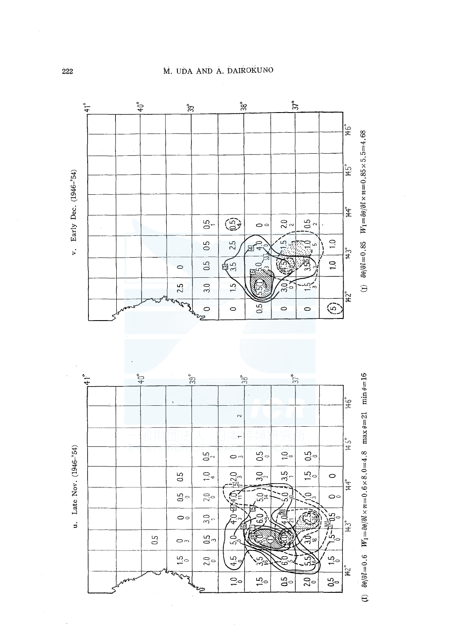

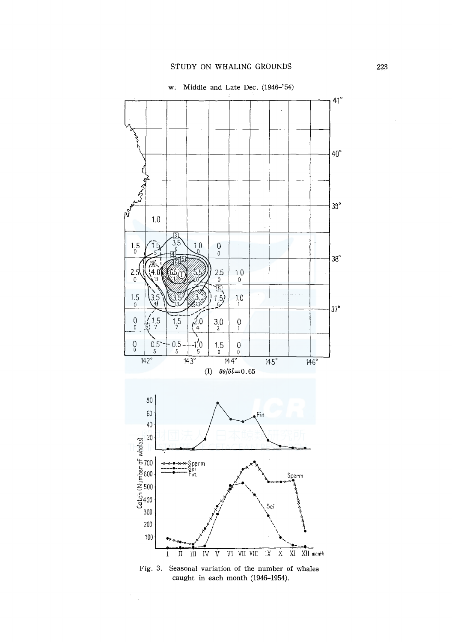

Fig. 3. Seasonal variation of the number of whales caught in each month (1946-1954).